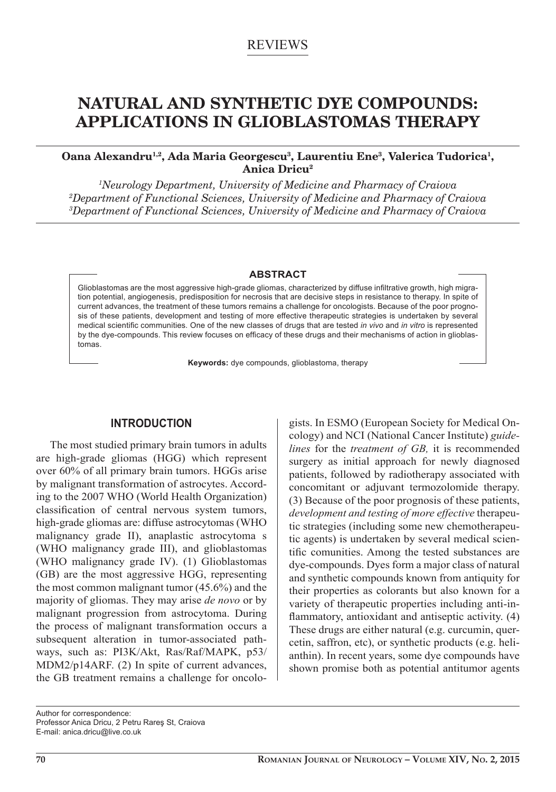# REVIEWS

# **NATURAL AND SYNTHETIC DYE COMPOUNDS: APPLICATIONS IN GLIOBLASTOMAS THERAPY**

## **Oana Alexandru1,2, Ada Maria Georgescu3, Laurentiu Ene3, Valerica Tudorica1, Anica Dricu2**

*1 Neurology Department, University of Medicine and Pharmacy of Craiova 2 Department of Functional Sciences, University of Medicine and Pharmacy of Craiova 3 Department of Functional Sciences, University of Medicine and Pharmacy of Craiova*

#### **ABSTRACT**

Glioblastomas are the most aggressive high-grade gliomas, characterized by diffuse infiltrative growth, high migration potential, angiogenesis, predisposition for necrosis that are decisive steps in resistance to therapy. In spite of current advances, the treatment of these tumors remains a challenge for oncologists. Because of the poor prognosis of these patients, development and testing of more effective therapeutic strategies is undertaken by several medical scientific communities. One of the new classes of drugs that are tested *in vivo* and *in vitro* is represented by the dye-compounds. This review focuses on efficacy of these drugs and their mechanisms of action in glioblastomas.

**Keywords:** dye compounds, glioblastoma, therapy

## **INTRODUCTION**

The most studied primary brain tumors in adults are high-grade gliomas (HGG) which represent over 60% of all primary brain tumors. HGGs arise by malignant transformation of astrocytes. According to the 2007 WHO (World Health Organization) classification of central nervous system tumors, high-grade gliomas are: diffuse astrocytomas (WHO malignancy grade II), anaplastic astrocytoma s (WHO malignancy grade III), and glioblastomas (WHO malignancy grade IV). (1) Glioblastomas (GB) are the most aggressive HGG, representing the most common malignant tumor (45.6%) and the majority of gliomas. They may arise *de novo* or by malignant progression from astrocytoma. During the process of malignant transformation occurs a subsequent alteration in tumor-associated pathways, such as: PI3K/Akt, Ras/Raf/MAPK, p53/ MDM2/p14ARF. (2) In spite of current advances, the GB treatment remains a challenge for oncologists. In ESMO (European Society for Medical Oncology) and NCI (National Cancer Institute) *guidelines* for the *treatment of GB,* it is recommended surgery as initial approach for newly diagnosed patients, followed by radiotherapy associated with concomitant or adjuvant termozolomide therapy. (3) Because of the poor prognosis of these patients, *development and testing of more effective* therapeutic strategies (including some new chemotherapeutic agents) is undertaken by several medical scientific comunities. Among the tested substances are dye-compounds. Dyes form a major class of natural and synthetic compounds known from antiquity for their properties as colorants but also known for a variety of therapeutic properties including anti-inflammatory, antioxidant and antiseptic activity. (4) These drugs are either natural (e.g. curcumin, quercetin, saffron, etc), or synthetic products (e.g. helianthin). In recent years, some dye compounds have shown promise both as potential antitumor agents

Author for correspondence: Professor Anica Dricu, 2 Petru Rareş St, Craiova E-mail: anica.dricu@live.co.uk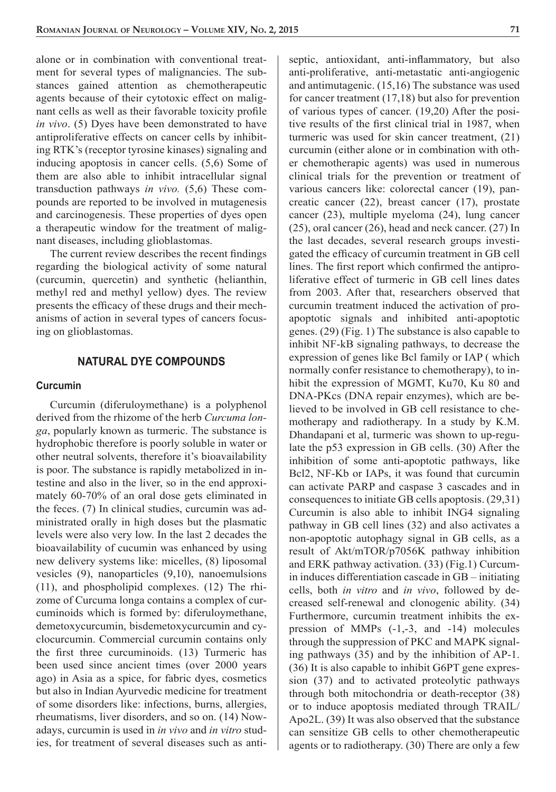alone or in combination with conventional treatment for several types of malignancies. The substances gained attention as chemotherapeutic agents because of their cytotoxic effect on malignant cells as well as their favorable toxicity profile *in vivo*. (5) Dyes have been demonstrated to have antiproliferative effects on cancer cells by inhibiting RTK's (receptor tyrosine kinases) signaling and inducing apoptosis in cancer cells. (5,6) Some of them are also able to inhibit intracellular signal transduction pathways *in vivo.* (5,6) These compounds are reported to be involved in mutagenesis and carcinogenesis. These properties of dyes open a therapeutic window for the treatment of malignant diseases, including glioblastomas.

The current review describes the recent findings regarding the biological activity of some natural (curcumin, quercetin) and synthetic (helianthin, methyl red and methyl yellow) dyes. The review presents the efficacy of these drugs and their mechanisms of action in several types of cancers focusing on glioblastomas.

## **NATURAL DYE COMPOUNDS**

#### **Curcumin**

Curcumin (diferuloymethane) is a polyphenol derived from the rhizome of the herb *Curcuma longa*, popularly known as turmeric. The substance is hydrophobic therefore is poorly soluble in water or other neutral solvents, therefore it's bioavailability is poor. The substance is rapidly metabolized in intestine and also in the liver, so in the end approximately 60-70% of an oral dose gets eliminated in the feces. (7) In clinical studies, curcumin was administrated orally in high doses but the plasmatic levels were also very low. In the last 2 decades the bioavailability of cucumin was enhanced by using new delivery systems like: micelles, (8) liposomal vesicles (9), nanoparticles (9,10), nanoemulsions (11), and phospholipid complexes. (12) The rhizome of Curcuma longa contains a complex of curcuminoids which is formed by: diferuloymethane, demetoxycurcumin, bisdemetoxycurcumin and cyclocurcumin. Commercial curcumin contains only the first three curcuminoids. (13) Turmeric has been used since ancient times (over 2000 years ago) in Asia as a spice, for fabric dyes, cosmetics but also in Indian Ayurvedic medicine for treatment of some disorders like: infections, burns, allergies, rheumatisms, liver disorders, and so on. (14) Nowadays, curcumin is used in *in vivo* and *in vitro* studies, for treatment of several diseases such as antiseptic, antioxidant, anti-inflammatory, but also anti-proliferative, anti-metastatic anti-angiogenic and antimutagenic. (15,16) The substance was used for cancer treatment (17,18) but also for prevention of various types of cancer. (19,20) After the positive results of the first clinical trial in 1987, when turmeric was used for skin cancer treatment, (21) curcumin (either alone or in combination with other chemotherapic agents) was used in numerous clinical trials for the prevention or treatment of various cancers like: colorectal cancer (19), pancreatic cancer (22), breast cancer (17), prostate cancer (23), multiple myeloma (24), lung cancer (25), oral cancer (26), head and neck cancer. (27) In the last decades, several research groups investigated the efficacy of curcumin treatment in GB cell lines. The first report which confirmed the antiproliferative effect of turmeric in GB cell lines dates from 2003. After that, researchers observed that curcumin treatment induced the activation of proapoptotic signals and inhibited anti-apoptotic genes. (29) (Fig. 1) The substance is also capable to inhibit NF-kB signaling pathways, to decrease the expression of genes like Bcl family or IAP ( which normally confer resistance to chemotherapy), to inhibit the expression of MGMT, Ku70, Ku 80 and DNA-PKcs (DNA repair enzymes), which are believed to be involved in GB cell resistance to chemotherapy and radiotherapy. In a study by K.M. Dhandapani et al, turmeric was shown to up-regulate the p53 expression in GB cells. (30) After the inhibition of some anti-apoptotic pathways, like Bcl2, NF-Kb or IAPs, it was found that curcumin can activate PARP and caspase 3 cascades and in consequences to initiate GB cells apoptosis. (29,31) Curcumin is also able to inhibit ING4 signaling pathway in GB cell lines (32) and also activates a non-apoptotic autophagy signal in GB cells, as a result of Akt/mTOR/p7056K pathway inhibition and ERK pathway activation. (33) (Fig.1) Curcumin induces differentiation cascade in GB – initiating cells, both *in vitro* and *in vivo*, followed by decreased self-renewal and clonogenic ability. (34) Furthermore, curcumin treatment inhibits the expression of MMPs (-1,-3, and -14) molecules through the suppression of PKC and MAPK signaling pathways (35) and by the inhibition of AP-1. (36) It is also capable to inhibit G6PT gene expression (37) and to activated proteolytic pathways through both mitochondria or death-receptor (38) or to induce apoptosis mediated through TRAIL/ Apo2L. (39) It was also observed that the substance can sensitize GB cells to other chemotherapeutic agents or to radiotherapy. (30) There are only a few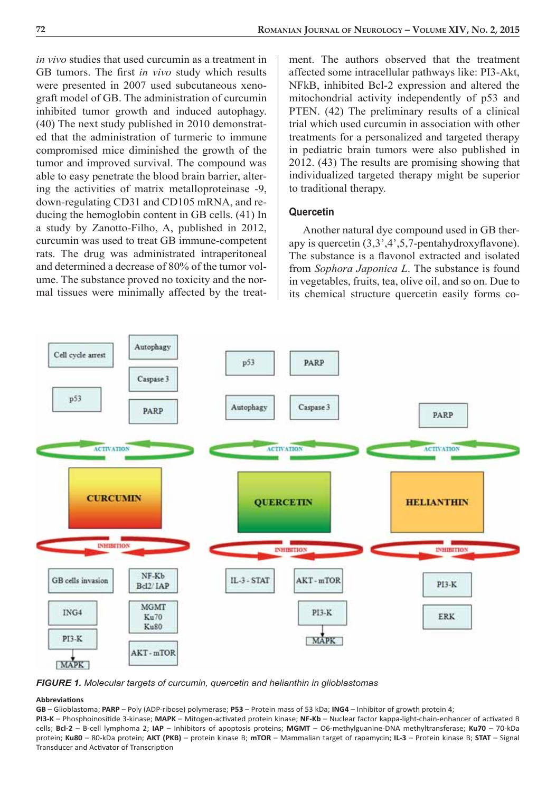*in vivo* studies that used curcumin as a treatment in GB tumors. The first *in vivo* study which results were presented in 2007 used subcutaneous xenograft model of GB. The administration of curcumin inhibited tumor growth and induced autophagy. (40) The next study published in 2010 demonstrated that the administration of turmeric to immune compromised mice diminished the growth of the tumor and improved survival. The compound was able to easy penetrate the blood brain barrier, altering the activities of matrix metalloproteinase -9, down-regulating CD31 and CD105 mRNA, and reducing the hemoglobin content in GB cells. (41) In a study by Zanotto-Filho, A, published in 2012, curcumin was used to treat GB immune-competent rats. The drug was administrated intraperitoneal and determined a decrease of 80% of the tumor volume. The substance proved no toxicity and the normal tissues were minimally affected by the treatment. The authors observed that the treatment affected some intracellular pathways like: PI3-Akt, NFkB, inhibited Bcl-2 expression and altered the mitochondrial activity independently of p53 and PTEN. (42) The preliminary results of a clinical trial which used curcumin in association with other treatments for a personalized and targeted therapy in pediatric brain tumors were also published in 2012. (43) The results are promising showing that individualized targeted therapy might be superior to traditional therapy.

#### **Quercetin**

Another natural dye compound used in GB therapy is quercetin  $(3,3,4,5,7)$ -pentahydroxyflavone). The substance is a flavonol extracted and isolated from *Sophora Japonica L*. The substance is found in vegetables, fruits, tea, olive oil, and so on. Due to its chemical structure quercetin easily forms co-



*FIGURE 1. Molecular targets of curcumin, quercetin and helianthin in glioblastomas*

#### **Abbreviati ons**

**GB** – Glioblastoma; **PARP** – Poly (ADP-ribose) polymerase; **P53** – Protein mass of 53 kDa; **ING4** – Inhibitor of growth protein 4;

PI3-K - Phosphoinositide 3-kinase; MAPK - Mitogen-activated protein kinase; NF-Kb - Nuclear factor kappa-light-chain-enhancer of activated B cells; **Bcl-2** – B-cell lymphoma 2; **IAP** – Inhibitors of apoptosis proteins; **MGMT** – O6-methylguanine-DNA methyltransferase; **Ku70** – 70-kDa protein; **Ku80** – 80-kDa protein; **AKT (PKB)** – protein kinase B; **mTOR** – Mammalian target of rapamycin; **IL-3** – Protein kinase B; **STAT** – Signal Transducer and Activator of Transcription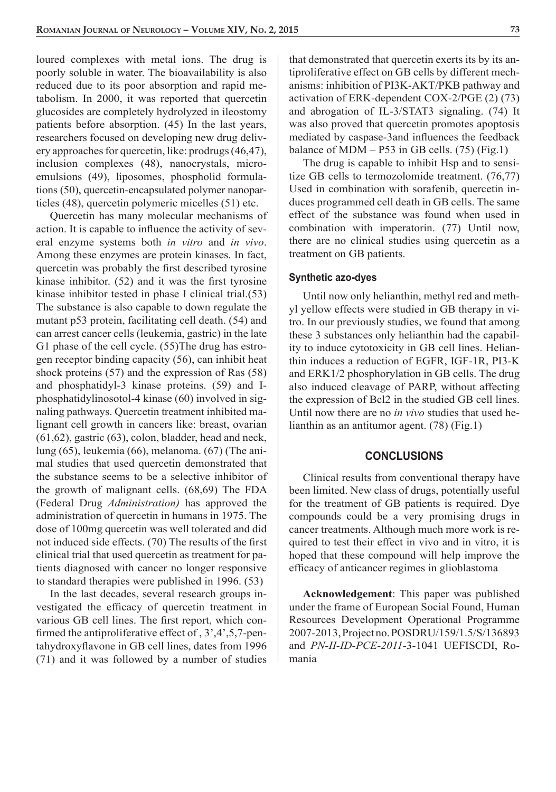loured complexes with metal ions. The drug is poorly soluble in water. The bioavailability is also reduced due to its poor absorption and rapid metabolism. In 2000, it was reported that quercetin glucosides are completely hydrolyzed in ileostomy patients before absorption. (45) In the last years, researchers focused on developing new drug delivery approaches for quercetin, like: prodrugs (46,47), inclusion complexes (48), nanocrystals, microemulsions (49), liposomes, phospholid formulations (50), quercetin-encapsulated polymer nanoparticles (48), quercetin polymeric micelles (51) etc.

Quercetin has many molecular mechanisms of action. It is capable to influence the activity of several enzyme systems both *in vitro* and *in vivo*. Among these enzymes are protein kinases. In fact, quercetin was probably the first described tyrosine kinase inhibitor.  $(52)$  and it was the first tyrosine kinase inhibitor tested in phase I clinical trial.(53) The substance is also capable to down regulate the mutant p53 protein, facilitating cell death. (54) and can arrest cancer cells (leukemia, gastric) in the late G1 phase of the cell cycle. (55)The drug has estrogen receptor binding capacity (56), can inhibit heat shock proteins (57) and the expression of Ras (58) and phosphatidyl-3 kinase proteins. (59) and Iphosphatidylinosotol-4 kinase (60) involved in signaling pathways. Quercetin treatment inhibited malignant cell growth in cancers like: breast, ovarian (61,62), gastric (63), colon, bladder, head and neck, lung (65), leukemia (66), melanoma. (67) (The animal studies that used quercetin demonstrated that the substance seems to be a selective inhibitor of the growth of malignant cells. (68,69) The FDA (Federal Drug *Administration)* has approved the administration of quercetin in humans in 1975. The dose of 100mg quercetin was well tolerated and did not induced side effects. (70) The results of the first clinical trial that used quercetin as treatment for patients diagnosed with cancer no longer responsive to standard therapies were published in 1996. (53)

In the last decades, several research groups investigated the efficacy of quercetin treatment in various GB cell lines. The first report, which confirmed the antiproliferative effect of  $, 3', 4', 5, 7$ -pentahydroxyflavone in GB cell lines, dates from 1996 (71) and it was followed by a number of studies that demonstrated that quercetin exerts its by its antiproliferative effect on GB cells by different mechanisms: inhibition of PI3K-AKT/PKB pathway and activation of ERK-dependent COX-2/PGE (2) (73) and abrogation of IL-3/STAT3 signaling. (74) It was also proved that quercetin promotes apoptosis mediated by caspase-3and influences the feedback balance of MDM  $- P53$  in GB cells. (75) (Fig.1)

The drug is capable to inhibit Hsp and to sensitize GB cells to termozolomide treatment. (76,77) Used in combination with sorafenib, quercetin induces programmed cell death in GB cells. The same effect of the substance was found when used in combination with imperatorin. (77) Until now, there are no clinical studies using quercetin as a treatment on GB patients.

#### **Synthetic azo-dyes**

Until now only helianthin, methyl red and methyl yellow effects were studied in GB therapy in vitro. In our previously studies, we found that among these 3 substances only helianthin had the capability to induce cytotoxicity in GB cell lines. Helianthin induces a reduction of EGFR, IGF-1R, PI3-K and ERK1/2 phosphorylation in GB cells. The drug also induced cleavage of PARP, without affecting the expression of Bcl2 in the studied GB cell lines. Until now there are no *in vivo* studies that used helianthin as an antitumor agent. (78) (Fig.1)

## **CONCLUSIONS**

Clinical results from conventional therapy have been limited. New class of drugs, potentially useful for the treatment of GB patients is required. Dye compounds could be a very promising drugs in cancer treatments. Although much more work is required to test their effect in vivo and in vitro, it is hoped that these compound will help improve the efficacy of anticancer regimes in glioblastoma

**Acknowledgement**: This paper was published under the frame of European Social Found, Human Resources Development Operational Programme 2007-2013, Project no. POSDRU/159/1.5/S/136893 and *PN-II-ID-PCE-2011-*3*-*1041 UEFISCDI, Romania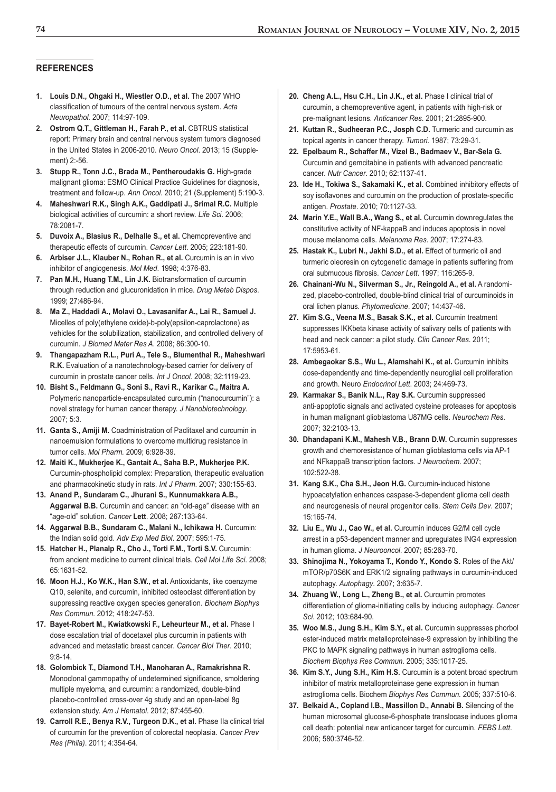#### **REFERENCES**

- **1. Louis D.N., Ohgaki H., Wiestler O.D., et al.** The 2007 WHO classification of tumours of the central nervous system. Acta *Neuropathol.* 2007; 114:97-109.
- **2. Ostrom Q.T., Gittleman H., Farah P., et al.** CBTRUS statistical report: Primary brain and central nervous system tumors diagnosed in the United States in 2006-2010. *Neuro Oncol*. 2013; 15 (Supplement) 2:-56.
- **3. Stupp R., Tonn J.C., Brada M., Pentheroudakis G.** High-grade malignant glioma: ESMO Clinical Practice Guidelines for diagnosis, treatment and follow-up. *Ann Oncol*. 2010; 21 (Supplement) 5:190-3.
- **4. Maheshwari R.K., Singh A.K., Gaddipati J., Srimal R.C.** Multiple biological activities of curcumin: a short review. *Life Sci*. 2006; 78:2081-7.
- **5. Duvoix A., Blasius R., Delhalle S., et al.** Chemopreventive and therapeutic effects of curcumin. *Cancer Lett*. 2005; 223:181-90.
- **6. Arbiser J.L., Klauber N., Rohan R., et al.** Curcumin is an in vivo inhibitor of angiogenesis. *Mol Med*. 1998; 4:376-83.
- **7. Pan M.H., Huang T.M., Lin J.K.** Biotransformation of curcumin through reduction and glucuronidation in mice. *Drug Metab Dispos*. 1999; 27:486-94.
- **8. Ma Z., Haddadi A., Molavi O., Lavasanifar A., Lai R., Samuel J.** Micelles of poly(ethylene oxide)-b-poly(epsilon-caprolactone) as vehicles for the solubilization, stabilization, and controlled delivery of curcumin. *J Biomed Mater Res A*. 2008; 86:300-10.
- **9. Thangapazham R.L., Puri A., Tele S., Blumenthal R., Maheshwari R.K.** Evaluation of a nanotechnology-based carrier for delivery of curcumin in prostate cancer cells. *Int J Oncol.* 2008; 32:1119-23.
- **10. Bisht S., Feldmann G., Soni S., Ravi R., Karikar C., Maitra A.** Polymeric nanoparticle-encapsulated curcumin ("nanocurcumin"): a novel strategy for human cancer therapy. *J Nanobiotechnology*.  $2007:5:3$
- **11. Ganta S., Amiji M.** Coadministration of Paclitaxel and curcumin in nanoemulsion formulations to overcome multidrug resistance in tumor cells. *Mol Pharm.* 2009; 6:928-39.
- **12. Maiti K., Mukherjee K., Gantait A., Saha B.P., Mukherjee P.K.** Curcumin-phospholipid complex: Preparation, therapeutic evaluation and pharmacokinetic study in rats. *Int J Pharm*. 2007; 330:155-63.
- **13. Anand P., Sundaram C., Jhurani S., Kunnumakkara A.B., Aggarwal B.B.** Curcumin and cancer: an "old-age" disease with an "age-old" solution. *Cancer* **Lett**. 2008; 267:133-64.
- **14. Aggarwal B.B., Sundaram C., Malani N., Ichikawa H.** Curcumin: the Indian solid gold. *Adv Exp Med Biol*. 2007; 595:1-75.
- **15. Hatcher H., Planalp R., Cho J., Torti F.M., Torti S.V.** Curcumin: from ancient medicine to current clinical trials. *Cell Mol Life Sci*. 2008; 65:1631-52.
- **16. Moon H.J., Ko W.K., Han S.W., et al.** Antioxidants, like coenzyme Q10, selenite, and curcumin, inhibited osteoclast differentiation by suppressing reactive oxygen species generation. *Biochem Biophys Res Commun*. 2012; 418:247-53.
- **17. Bayet-Robert M., Kwiatkowski F., Leheurteur M., et al.** Phase I dose escalation trial of docetaxel plus curcumin in patients with advanced and metastatic breast cancer. *Cancer Biol Ther*. 2010; 9:8-14.
- **18. Golombick T., Diamond T.H., Manoharan A., Ramakrishna R.** Monoclonal gammopathy of undetermined significance, smoldering multiple myeloma, and curcumin: a randomized, double-blind placebo-controlled cross-over 4g study and an open-label 8g extension study. *Am J Hematol*. 2012; 87:455-60.
- **19. Carroll R.E., Benya R.V., Turgeon D.K., et al.** Phase IIa clinical trial of curcumin for the prevention of colorectal neoplasia. *Cancer Prev Res (Phila)*. 2011; 4:354-64.
- **20. Cheng A.L., Hsu C.H., Lin J.K., et al.** Phase I clinical trial of curcumin, a chemopreventive agent, in patients with high-risk or pre-malignant lesions. *Anticancer Res*. 2001; 21:2895-900.
- **21. Kuttan R., Sudheeran P.C., Josph C.D.** Turmeric and curcumin as topical agents in cancer therapy. *Tumori*. 1987; 73:29-31.
- **22. Epelbaum R., Schaffer M., Vizel B., Badmaev V., Bar-Sela G.** Curcumin and gemcitabine in patients with advanced pancreatic cancer. *Nutr Cancer*. 2010; 62:1137-41.
- **23. Ide H., Tokiwa S., Sakamaki K., et al.** Combined inhibitory effects of soy isoflavones and curcumin on the production of prostate-specific antigen. *Prostate*. 2010; 70:1127-33.
- **24. Marin Y.E., Wall B.A., Wang S., et al.** Curcumin downregulates the constitutive activity of NF-kappaB and induces apoptosis in novel mouse melanoma cells. *Melanoma Res*. 2007; 17:274-83.
- **25. Hastak K., Lubri N., Jakhi S.D., et al.** Effect of turmeric oil and turmeric oleoresin on cytogenetic damage in patients suffering from oral submucous fibrosis. Cancer Lett. 1997; 116:265-9.
- **26. Chainani-Wu N., Silverman S., Jr., Reingold A., et al.** A randomized, placebo-controlled, double-blind clinical trial of curcuminoids in oral lichen planus. *Phytomedicine*. 2007; 14:437-46.
- **27. Kim S.G., Veena M.S., Basak S.K., et al.** Curcumin treatment suppresses IKKbeta kinase activity of salivary cells of patients with head and neck cancer: a pilot study. *Clin Cancer Res*. 2011; 17:5953-61.
- **28. Ambegaokar S.S., Wu L., Alamshahi K., et al.** Curcumin inhibits dose-dependently and time-dependently neuroglial cell proliferation and growth. Neuro *Endocrinol Lett*. 2003; 24:469-73.
- **29. Karmakar S., Banik N.L., Ray S.K.** Curcumin suppressed anti-apoptotic signals and activated cysteine proteases for apoptosis in human malignant glioblastoma U87MG cells. *Neurochem Res*. 2007; 32:2103-13.
- **30. Dhandapani K.M., Mahesh V.B., Brann D.W.** Curcumin suppresses growth and chemoresistance of human glioblastoma cells via AP-1 and NFkappaB transcription factors. *J Neurochem*. 2007; 102:522-38.
- **31. Kang S.K., Cha S.H., Jeon H.G.** Curcumin-induced histone hypoacetylation enhances caspase-3-dependent glioma cell death and neurogenesis of neural progenitor cells. *Stem Cells Dev*. 2007; 15:165-74.
- **32. Liu E., Wu J., Cao W., et al.** Curcumin induces G2/M cell cycle arrest in a p53-dependent manner and upregulates ING4 expression in human glioma. *J Neurooncol*. 2007; 85:263-70.
- **33. Shinojima N., Yokoyama T., Kondo Y., Kondo S.** Roles of the Akt/ mTOR/p70S6K and ERK1/2 signaling pathways in curcumin-induced autophagy. *Autophagy*. 2007; 3:635-7.
- **34. Zhuang W., Long L., Zheng B., et al.** Curcumin promotes differentiation of glioma-initiating cells by inducing autophagy. *Cancer Sci*. 2012; 103:684-90.
- **35. Woo M.S., Jung S.H., Kim S.Y., et al.** Curcumin suppresses phorbol ester-induced matrix metalloproteinase-9 expression by inhibiting the PKC to MAPK signaling pathways in human astroglioma cells. *Biochem Biophys Res Commun*. 2005; 335:1017-25.
- **36. Kim S.Y., Jung S.H., Kim H.S.** Curcumin is a potent broad spectrum inhibitor of matrix metalloproteinase gene expression in human astroglioma cells. Biochem *Biophys Res Commun.* 2005; 337:510-6.
- **37. Belkaid A., Copland I.B., Massillon D., Annabi B.** Silencing of the human microsomal glucose-6-phosphate translocase induces glioma cell death: potential new anticancer target for curcumin. *FEBS Lett*. 2006; 580:3746-52.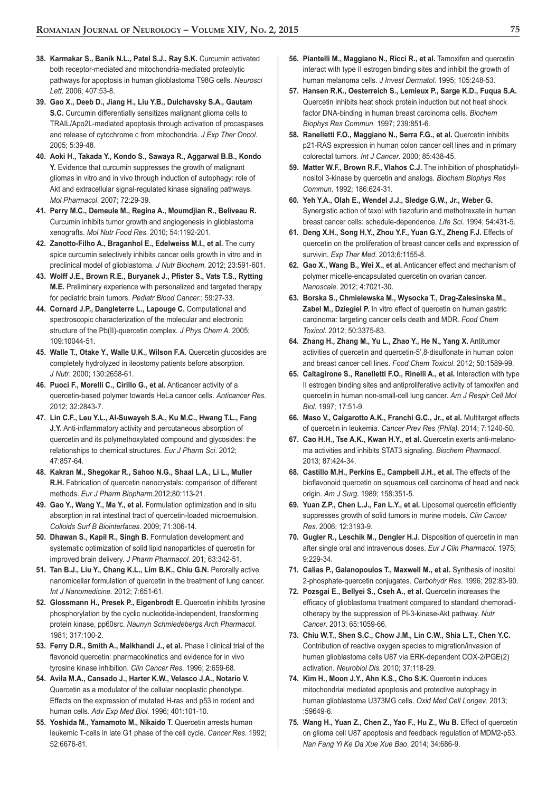- **38. Karmakar S., Banik N.L., Patel S.J., Ray S.K.** Curcumin activated both receptor-mediated and mitochondria-mediated proteolytic pathways for apoptosis in human glioblastoma T98G cells. *Neurosci Lett*. 2006; 407:53-8.
- **39. Gao X., Deeb D., Jiang H., Liu Y.B., Dulchavsky S.A., Gautam S.C.** Curcumin differentially sensitizes malignant glioma cells to TRAIL/Apo2L-mediated apoptosis through activation of procaspases and release of cytochrome c from mitochondria. *J Exp Ther Oncol*. 2005; 5:39-48.
- **40. Aoki H., Takada Y., Kondo S., Sawaya R., Aggarwal B.B., Kondo Y.** Evidence that curcumin suppresses the growth of malignant gliomas in vitro and in vivo through induction of autophagy: role of Akt and extracellular signal-regulated kinase signaling pathways. *Mol Pharmacol*. 2007; 72:29-39.
- **41. Perry M.C., Demeule M., Regina A., Moumdjian R., Beliveau R.** Curcumin inhibits tumor growth and angiogenesis in glioblastoma xenografts. *Mol Nutr Food Res.* 2010; 54:1192-201.
- **42. Zanotto-Filho A., Braganhol E., Edelweiss M.I., et al.** The curry spice curcumin selectively inhibits cancer cells growth in vitro and in preclinical model of glioblastoma. *J Nutr Biochem*. 2012; 23:591-601.
- 43. Wolff J.E., Brown R.E., Buryanek J., Pfister S., Vats T.S., Rytting **M.E.** Preliminary experience with personalized and targeted therapy for pediatric brain tumors. *Pediatr Blood Cancer.*; 59:27-33.
- **44. Cornard J.P., Dangleterre L., Lapouge C.** Computational and spectroscopic characterization of the molecular and electronic structure of the Pb(II)-quercetin complex. *J Phys Chem A.* 2005; 109:10044-51.
- **45. Walle T., Otake Y., Walle U.K., Wilson F.A.** Quercetin glucosides are completely hydrolyzed in ileostomy patients before absorption. *J Nutr*. 2000; 130:2658-61.
- **46. Puoci F., Morelli C., Cirillo G., et al.** Anticancer activity of a quercetin-based polymer towards HeLa cancer cells. *Anticancer Res*. 2012; 32:2843-7.
- **47. Lin C.F., Leu Y.L., Al-Suwayeh S.A., Ku M.C., Hwang T.L., Fang J.Y.** Anti-inflammatory activity and percutaneous absorption of quercetin and its polymethoxylated compound and glycosides: the relationships to chemical structures. *Eur J Pharm Sci*. 2012; 47:857-64.
- **48. Kakran M., Shegokar R., Sahoo N.G., Shaal L.A., Li L., Muller R.H.** Fabrication of quercetin nanocrystals: comparison of different methods. *Eur J Pharm Biopharm.*2012;80:113-21.
- **49. Gao Y., Wang Y., Ma Y., et al.** Formulation optimization and in situ absorption in rat intestinal tract of quercetin-loaded microemulsion. *Colloids Surf B Biointerfaces*. 2009; 71:306-14.
- **50. Dhawan S., Kapil R., Singh B.** Formulation development and systematic optimization of solid lipid nanoparticles of quercetin for improved brain delivery. *J Pharm Pharmacol*. 201; 63:342-51.
- **51. Tan B.J., Liu Y., Chang K.L., Lim B.K., Chiu G.N.** Perorally active nanomicellar formulation of quercetin in the treatment of lung cancer. *Int J Nanomedicine*. 2012; 7:651-61.
- **52. Glossmann H., Presek P., Eigenbrodt E.** Quercetin inhibits tyrosine phosphorylation by the cyclic nucleotide-independent, transforming protein kinase, pp60src. *Naunyn Schmiedebergs Arch Pharmacol*. 1981; 317:100-2.
- **53. Ferry D.R., Smith A., Malkhandi J., et al.** Phase I clinical trial of the flavonoid quercetin: pharmacokinetics and evidence for in vivo tyrosine kinase inhibition. *Clin Cancer Res*. 1996; 2:659-68.
- **54. Avila M.A., Cansado J., Harter K.W., Velasco J.A., Notario V.** Quercetin as a modulator of the cellular neoplastic phenotype. Effects on the expression of mutated H-ras and p53 in rodent and human cells. *Adv Exp Med Biol*. 1996; 401:101-10.
- **55. Yoshida M., Yamamoto M., Nikaido T.** Quercetin arrests human leukemic T-cells in late G1 phase of the cell cycle. *Cancer Res*. 1992; 52:6676-81.
- **56. Piantelli M., Maggiano N., Ricci R., et al.** Tamoxifen and quercetin interact with type II estrogen binding sites and inhibit the growth of human melanoma cells. *J Invest Dermatol*. 1995; 105:248-53.
- **57. Hansen R.K., Oesterreich S., Lemieux P., Sarge K.D., Fuqua S.A.** Quercetin inhibits heat shock protein induction but not heat shock factor DNA-binding in human breast carcinoma cells. *Biochem Biophys Res Commun*. 1997; 239:851-6.
- **58. Ranelletti F.O., Maggiano N., Serra F.G., et al.** Quercetin inhibits p21-RAS expression in human colon cancer cell lines and in primary colorectal tumors. *Int J Cancer*. 2000; 85:438-45.
- **59. Matter W.F., Brown R.F., Vlahos C.J.** The inhibition of phosphatidylinositol 3-kinase by quercetin and analogs. *Biochem Biophys Res Commun.* 1992; 186:624-31.
- **60. Yeh Y.A., Olah E., Wendel J.J., Sledge G.W., Jr., Weber G.** Synergistic action of taxol with tiazofurin and methotrexate in human breast cancer cells: schedule-dependence. *Life Sci*. 1994; 54:431-5.
- **61. Deng X.H., Song H.Y., Zhou Y.F., Yuan G.Y., Zheng F.J.** Effects of quercetin on the proliferation of breast cancer cells and expression of survivin. *Exp Ther Med*. 2013;6:1155-8.
- **62. Gao X., Wang B., Wei X., et al.** Anticancer effect and mechanism of polymer micelle-encapsulated quercetin on ovarian cancer. *Nanoscale*. 2012; 4:7021-30.
- **63. Borska S., Chmielewska M., Wysocka T., Drag-Zalesinska M., Zabel M., Dziegiel P.** In vitro effect of quercetin on human gastric carcinoma: targeting cancer cells death and MDR. *Food Chem Toxicol*. 2012; 50:3375-83.
- **64. Zhang H., Zhang M., Yu L., Zhao Y., He N., Yang X.** Antitumor activities of quercetin and quercetin-5',8-disulfonate in human colon and breast cancer cell lines. *Food Chem Toxicol*. 2012; 50:1589-99.
- **65. Caltagirone S., Ranelletti F.O., Rinelli A., et al.** Interaction with type II estrogen binding sites and antiproliferative activity of tamoxifen and quercetin in human non-small-cell lung cancer. *Am J Respir Cell Mol Biol*. 1997; 17:51-9.
- **66. Maso V., Calgarotto A.K., Franchi G.C., Jr., et al.** Multitarget effects of quercetin in leukemia. *Cancer Prev Res (Phila)*. 2014; 7:1240-50.
- **67. Cao H.H., Tse A.K., Kwan H.Y., et al.** Quercetin exerts anti-melanoma activities and inhibits STAT3 signaling. *Biochem Pharmacol*. 2013; 87:424-34.
- **68. Castillo M.H., Perkins E., Campbell J.H., et al.** The effects of the bioflavonoid quercetin on squamous cell carcinoma of head and neck origin. *Am J Surg*. 1989; 158:351-5.
- 69. Yuan Z.P., Chen L.J., Fan L.Y., et al. Liposomal quercetin efficiently suppresses growth of solid tumors in murine models. *Clin Cancer Res*. 2006; 12:3193-9.
- **70. Gugler R., Leschik M., Dengler H.J.** Disposition of quercetin in man after single oral and intravenous doses. *Eur J Clin Pharmacol*. 1975; 9:229-34.
- **71. Calias P., Galanopoulos T., Maxwell M., et al.** Synthesis of inositol 2-phosphate-quercetin conjugates. *Carbohydr Res*. 1996; 292:83-90.
- **72. Pozsgai E., Bellyei S., Cseh A., et al.** Quercetin increases the efficacy of glioblastoma treatment compared to standard chemoradiotherapy by the suppression of PI-3-kinase-Akt pathway. *Nutr Cancer*. 2013; 65:1059-66.
- **73. Chiu W.T., Shen S.C., Chow J.M., Lin C.W., Shia L.T., Chen Y.C.** Contribution of reactive oxygen species to migration/invasion of human glioblastoma cells U87 via ERK-dependent COX-2/PGE(2) activation. *Neurobiol Dis.* 2010; 37:118-29.
- **74. Kim H., Moon J.Y., Ahn K.S., Cho S.K.** Quercetin induces mitochondrial mediated apoptosis and protective autophagy in human glioblastoma U373MG cells. *Oxid Med Cell Longev*. 2013; :59649-6.
- **75. Wang H., Yuan Z., Chen Z., Yao F., Hu Z., Wu B.** Effect of quercetin on glioma cell U87 apoptosis and feedback regulation of MDM2-p53. *Nan Fang Yi Ke Da Xue Xue Bao*. 2014; 34:686-9.